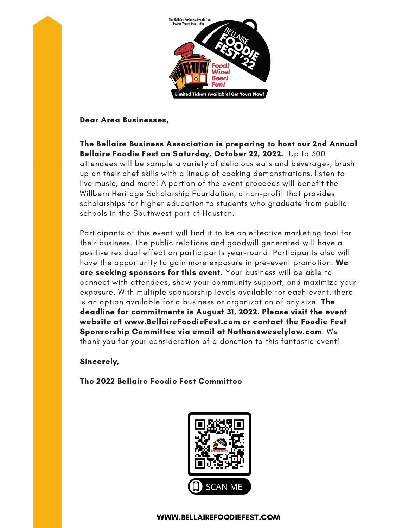

Dear Area Businesses,

The Bellaire Business Association is preparing to host our 2nd Annual Bellaire Foodie Fest on Saturday, October 22, 2022. Up to 300 attendees will be sample a variety of delicious eats and beverages, brush up on their chef skills with a lineup of cooking demonstrations, listen to live music, and more! A portion of the event proceeds will benefit the Willbern Heritage Scholarship Foundation, a non-profit that provides scholarships for higher education to students who graduate from public schools in the Southwest part of Houston.

Participants of this event will find it to be an effective marketing tool for their business. The public relations and goodwill generated will have a positive residual effect on participants year-round. Participants also will have the opportunity to gain more exposure in pre-event promotion. We are seeking sponsors for this event. Your business will be able to connect with attendees, show your community support, and maximize your exposure. With multiple sponsorship levels available for each event, there is an option available for a business or organization of any size. **The** deadline for commitments is August 31, 2022. Please visit the event website at www.BellaireFoodieFest.com or contact the Foodie Fest Sponsorship Committee via email at [Nathan@weselylaw.com](mailto:Nathan@weselylaw.com). We thank you for your consideration of a donation to this fantastic event!

#### Sincerely,

The 2022 Bellaire Foodie Fest Committee



#### WWW.BELLAIREFOODIEFEST.COM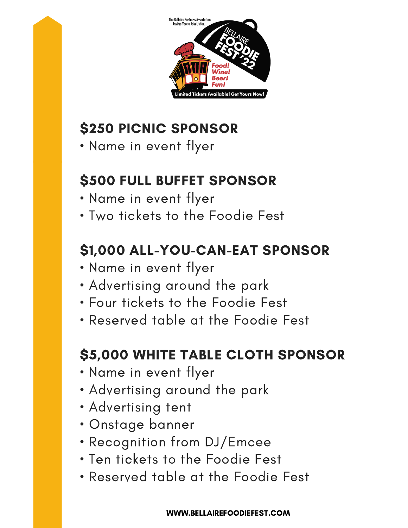

# \$250 PICNIC SPONSOR

• Name in event flyer

### \$500 FULL BUFFET SPONSOR

- Name in event flyer
- Two tickets to the Foodie Fest

## \$1,000 ALL-YOU-CAN-EAT SPONSOR

- Name in event flyer
- Advertising around the park
- Four tickets to the Foodie Fest
- Reserved table at the Foodie Fest

### \$5,000 WHITE TABLE CLOTH SPONSOR

- Name in event flyer
- Advertising around the park
- Advertising tent
- Onstage banner
- Recognition from DJ/Emcee
- Ten tickets to the Foodie Fest
- Reserved table at the Foodie Fest

WWW.BELLAIREFOODIEFEST.COM